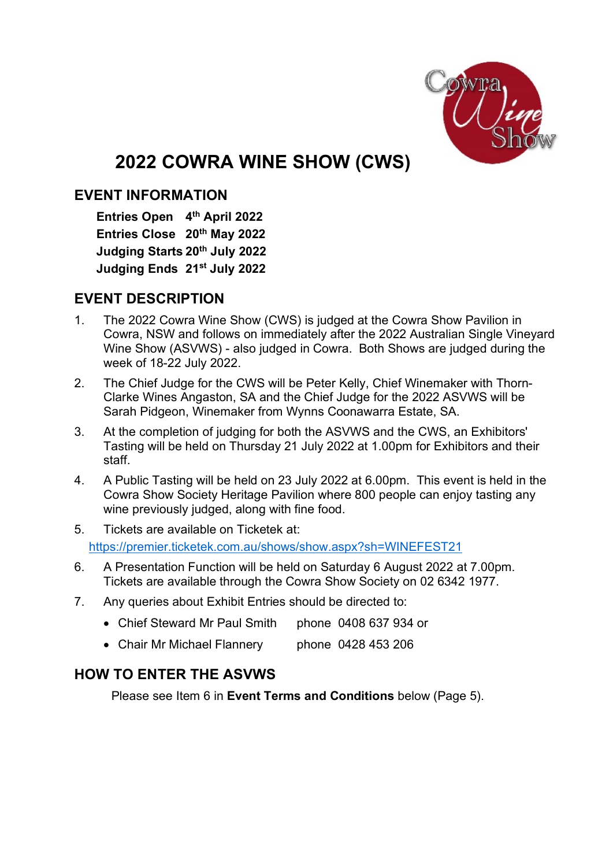

# **2022 COWRA WINE SHOW (CWS)**

## **EVENT INFORMATION**

**Entries Open 4th April 2022 Entries Close 20th May 2022 Judging Starts 20th July 2022 Judging Ends 21st July 2022**

## **EVENT DESCRIPTION**

- 1. The 2022 Cowra Wine Show (CWS) is judged at the Cowra Show Pavilion in Cowra, NSW and follows on immediately after the 2022 Australian Single Vineyard Wine Show (ASVWS) - also judged in Cowra. Both Shows are judged during the week of 18-22 July 2022.
- 2. The Chief Judge for the CWS will be Peter Kelly, Chief Winemaker with Thorn-Clarke Wines Angaston, SA and the Chief Judge for the 2022 ASVWS will be Sarah Pidgeon, Winemaker from Wynns Coonawarra Estate, SA.
- 3. At the completion of judging for both the ASVWS and the CWS, an Exhibitors' Tasting will be held on Thursday 21 July 2022 at 1.00pm for Exhibitors and their staff.
- 4. A Public Tasting will be held on 23 July 2022 at 6.00pm. This event is held in the Cowra Show Society Heritage Pavilion where 800 people can enjoy tasting any wine previously judged, along with fine food.
- 5. Tickets are available on Ticketek at: https://premier.ticketek.com.au/shows/show.aspx?sh=WINEFEST21
- 6. A Presentation Function will be held on Saturday 6 August 2022 at 7.00pm. Tickets are available through the Cowra Show Society on 02 6342 1977.
- 7. Any queries about Exhibit Entries should be directed to:
	- Chief Steward Mr Paul Smith phone 0408 637 934 or
	- Chair Mr Michael Flannery phone 0428 453 206

# **HOW TO ENTER THE ASVWS**

Please see Item 6 in **Event Terms and Conditions** below (Page 5).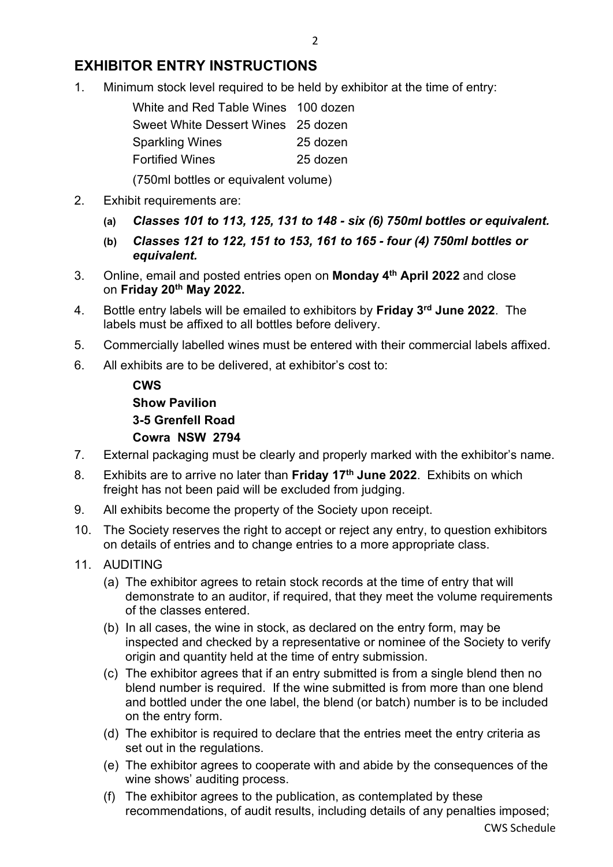## **EXHIBITOR ENTRY INSTRUCTIONS**

1. Minimum stock level required to be held by exhibitor at the time of entry:

| White and Red Table Wines 100 dozen |          |
|-------------------------------------|----------|
| Sweet White Dessert Wines 25 dozen  |          |
| <b>Sparkling Wines</b>              | 25 dozen |
| <b>Fortified Wines</b>              | 25 dozen |
|                                     |          |

(750ml bottles or equivalent volume)

- 2. Exhibit requirements are:
	- **(a)** *Classes 101 to 113, 125, 131 to 148 - six (6) 750ml bottles or equivalent.*
	- **(b)** *Classes 121 to 122, 151 to 153, 161 to 165 - four (4) 750ml bottles or equivalent.*
- 3. Online, email and posted entries open on **Monday 4th April 2022** and close on **Friday 20th May 2022.**
- 4. Bottle entry labels will be emailed to exhibitors by **Friday 3rd June 2022**. The labels must be affixed to all bottles before delivery.
- 5. Commercially labelled wines must be entered with their commercial labels affixed.
- 6. All exhibits are to be delivered, at exhibitor's cost to:

**CWS Show Pavilion 3-5 Grenfell Road Cowra NSW 2794**

- 7. External packaging must be clearly and properly marked with the exhibitor's name.
- 8. Exhibits are to arrive no later than **Friday 17th June 2022**. Exhibits on which freight has not been paid will be excluded from judging.
- 9. All exhibits become the property of the Society upon receipt.
- 10. The Society reserves the right to accept or reject any entry, to question exhibitors on details of entries and to change entries to a more appropriate class.

### 11. AUDITING

- (a) The exhibitor agrees to retain stock records at the time of entry that will demonstrate to an auditor, if required, that they meet the volume requirements of the classes entered.
- (b) In all cases, the wine in stock, as declared on the entry form, may be inspected and checked by a representative or nominee of the Society to verify origin and quantity held at the time of entry submission.
- (c) The exhibitor agrees that if an entry submitted is from a single blend then no blend number is required. If the wine submitted is from more than one blend and bottled under the one label, the blend (or batch) number is to be included on the entry form.
- (d) The exhibitor is required to declare that the entries meet the entry criteria as set out in the regulations.
- (e) The exhibitor agrees to cooperate with and abide by the consequences of the wine shows' auditing process.
- (f) The exhibitor agrees to the publication, as contemplated by these recommendations, of audit results, including details of any penalties imposed;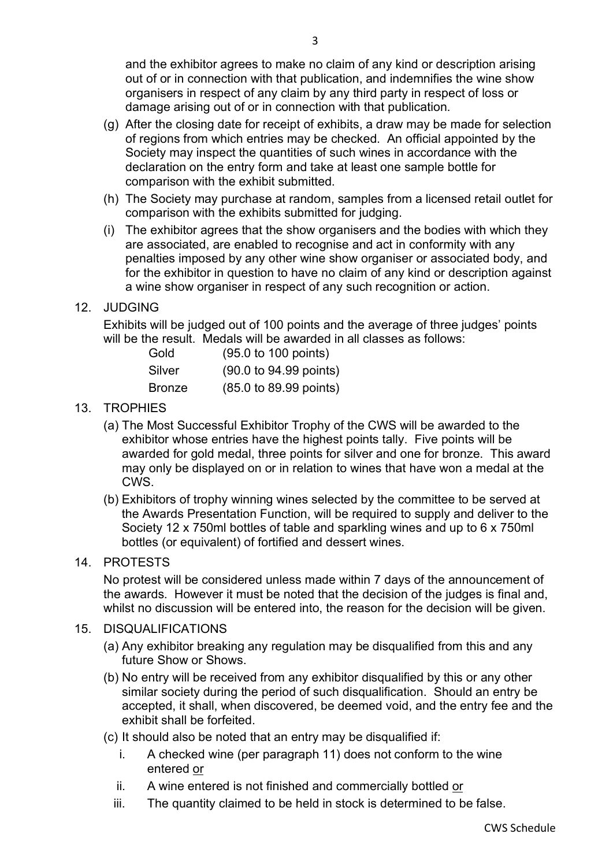and the exhibitor agrees to make no claim of any kind or description arising out of or in connection with that publication, and indemnifies the wine show organisers in respect of any claim by any third party in respect of loss or damage arising out of or in connection with that publication.

- (g) After the closing date for receipt of exhibits, a draw may be made for selection of regions from which entries may be checked. An official appointed by the Society may inspect the quantities of such wines in accordance with the declaration on the entry form and take at least one sample bottle for comparison with the exhibit submitted.
- (h) The Society may purchase at random, samples from a licensed retail outlet for comparison with the exhibits submitted for judging.
- (i) The exhibitor agrees that the show organisers and the bodies with which they are associated, are enabled to recognise and act in conformity with any penalties imposed by any other wine show organiser or associated body, and for the exhibitor in question to have no claim of any kind or description against a wine show organiser in respect of any such recognition or action.

### 12. JUDGING

Exhibits will be judged out of 100 points and the average of three judges' points will be the result. Medals will be awarded in all classes as follows:

| Gold          | (95.0 to 100 points)   |
|---------------|------------------------|
| Silver        | (90.0 to 94.99 points) |
| <b>Bronze</b> | (85.0 to 89.99 points) |

#### 13. TROPHIES

- (a) The Most Successful Exhibitor Trophy of the CWS will be awarded to the exhibitor whose entries have the highest points tally. Five points will be awarded for gold medal, three points for silver and one for bronze. This award may only be displayed on or in relation to wines that have won a medal at the CWS.
- (b) Exhibitors of trophy winning wines selected by the committee to be served at the Awards Presentation Function, will be required to supply and deliver to the Society 12 x 750ml bottles of table and sparkling wines and up to 6 x 750ml bottles (or equivalent) of fortified and dessert wines.

## 14. PROTESTS

No protest will be considered unless made within 7 days of the announcement of the awards. However it must be noted that the decision of the judges is final and, whilst no discussion will be entered into, the reason for the decision will be given.

#### 15. DISQUALIFICATIONS

- (a) Any exhibitor breaking any regulation may be disqualified from this and any future Show or Shows.
- (b) No entry will be received from any exhibitor disqualified by this or any other similar society during the period of such disqualification. Should an entry be accepted, it shall, when discovered, be deemed void, and the entry fee and the exhibit shall be forfeited.
- (c) It should also be noted that an entry may be disqualified if:
	- i. A checked wine (per paragraph 11) does not conform to the wine entered or
	- ii. A wine entered is not finished and commercially bottled or
	- iii. The quantity claimed to be held in stock is determined to be false.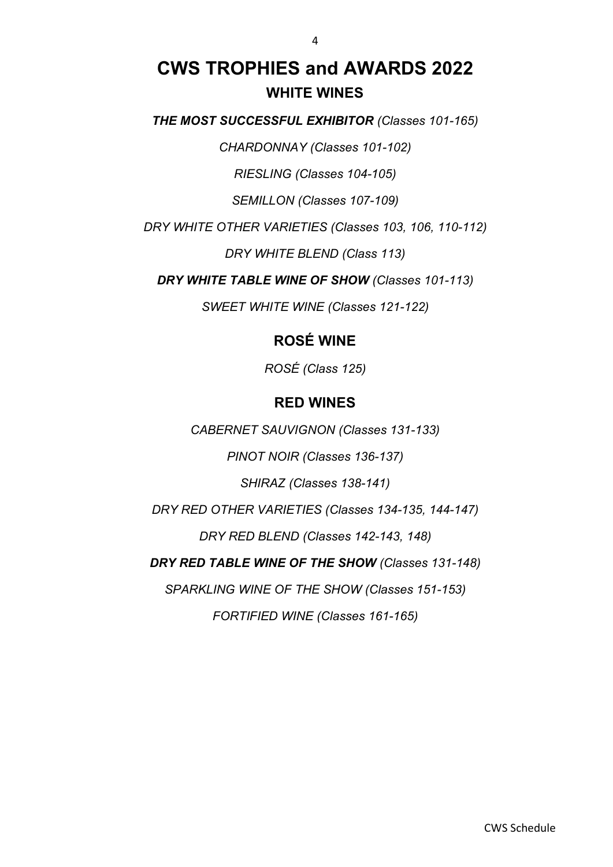# **CWS TROPHIES and AWARDS 2022 WHITE WINES**

*THE MOST SUCCESSFUL EXHIBITOR (Classes 101-165)*

*CHARDONNAY (Classes 101-102)*

*RIESLING (Classes 104-105)*

*SEMILLON (Classes 107-109)*

*DRY WHITE OTHER VARIETIES (Classes 103, 106, 110-112)*

*DRY WHITE BLEND (Class 113)*

*DRY WHITE TABLE WINE OF SHOW (Classes 101-113)*

*SWEET WHITE WINE (Classes 121-122)*

## **ROSÉ WINE**

*ROSÉ (Class 125)*

## **RED WINES**

*CABERNET SAUVIGNON (Classes 131-133)*

*PINOT NOIR (Classes 136-137)*

*SHIRAZ (Classes 138-141)*

*DRY RED OTHER VARIETIES (Classes 134-135, 144-147)*

*DRY RED BLEND (Classes 142-143, 148)*

*DRY RED TABLE WINE OF THE SHOW (Classes 131-148)*

*SPARKLING WINE OF THE SHOW (Classes 151-153)*

*FORTIFIED WINE (Classes 161-165)*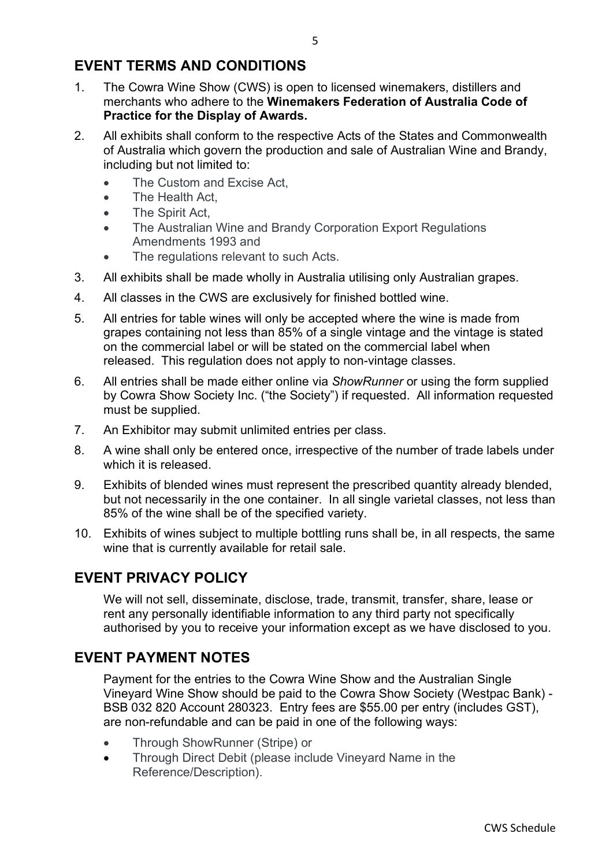## **EVENT TERMS AND CONDITIONS**

- 1. The Cowra Wine Show (CWS) is open to licensed winemakers, distillers and merchants who adhere to the **Winemakers Federation of Australia Code of Practice for the Display of Awards.**
- 2. All exhibits shall conform to the respective Acts of the States and Commonwealth of Australia which govern the production and sale of Australian Wine and Brandy, including but not limited to:
	- The Custom and Excise Act,
	- The Health Act,
	- The Spirit Act,
	- The Australian Wine and Brandy Corporation Export Regulations Amendments 1993 and
	- The regulations relevant to such Acts.
- 3. All exhibits shall be made wholly in Australia utilising only Australian grapes.
- 4. All classes in the CWS are exclusively for finished bottled wine.
- 5. All entries for table wines will only be accepted where the wine is made from grapes containing not less than 85% of a single vintage and the vintage is stated on the commercial label or will be stated on the commercial label when released. This regulation does not apply to non-vintage classes.
- 6. All entries shall be made either online via *ShowRunner* or using the form supplied by Cowra Show Society Inc. ("the Society") if requested. All information requested must be supplied.
- 7. An Exhibitor may submit unlimited entries per class.
- 8. A wine shall only be entered once, irrespective of the number of trade labels under which it is released.
- 9. Exhibits of blended wines must represent the prescribed quantity already blended, but not necessarily in the one container. In all single varietal classes, not less than 85% of the wine shall be of the specified variety.
- 10. Exhibits of wines subject to multiple bottling runs shall be, in all respects, the same wine that is currently available for retail sale.

## **EVENT PRIVACY POLICY**

We will not sell, disseminate, disclose, trade, transmit, transfer, share, lease or rent any personally identifiable information to any third party not specifically authorised by you to receive your information except as we have disclosed to you.

## **EVENT PAYMENT NOTES**

Payment for the entries to the Cowra Wine Show and the Australian Single Vineyard Wine Show should be paid to the Cowra Show Society (Westpac Bank) - BSB 032 820 Account 280323. Entry fees are \$55.00 per entry (includes GST), are non-refundable and can be paid in one of the following ways:

- Through ShowRunner (Stripe) or
- Through Direct Debit (please include Vineyard Name in the Reference/Description).